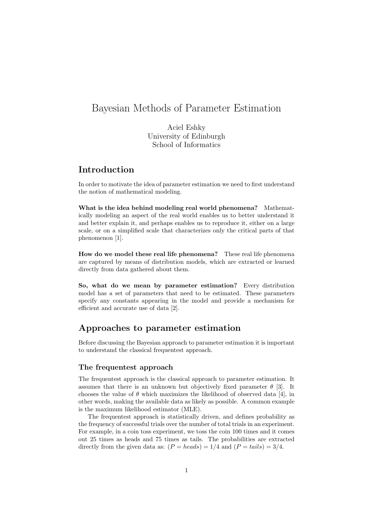# Bayesian Methods of Parameter Estimation

Aciel Eshky University of Edinburgh School of Informatics

# Introduction

In order to motivate the idea of parameter estimation we need to first understand the notion of mathematical modeling.

What is the idea behind modeling real world phenomena? Mathematically modeling an aspect of the real world enables us to better understand it and better explain it, and perhaps enables us to reproduce it, either on a large scale, or on a simplified scale that characterizes only the critical parts of that phenomenon [1].

How do we model these real life phenomena? These real life phenomena are captured by means of distribution models, which are extracted or learned directly from data gathered about them.

So, what do we mean by parameter estimation? Every distribution model has a set of parameters that need to be estimated. These parameters specify any constants appearing in the model and provide a mechanism for efficient and accurate use of data [2].

# Approaches to parameter estimation

Before discussing the Bayesian approach to parameter estimation it is important to understand the classical frequentest approach.

### The frequentest approach

The frequentest approach is the classical approach to parameter estimation. It assumes that there is an unknown but objectively fixed parameter  $\theta$  [3]. It chooses the value of  $\theta$  which maximizes the likelihood of observed data [4], in other words, making the available data as likely as possible. A common example is the maximum likelihood estimator (MLE).

The frequentest approach is statistically driven, and defines probability as the frequency of successful trials over the number of total trials in an experiment. For example, in a coin toss experiment, we toss the coin 100 times and it comes out 25 times as heads and 75 times as tails. The probabilities are extracted directly from the given data as:  $(P = heads) = 1/4$  and  $(P = tails) = 3/4$ .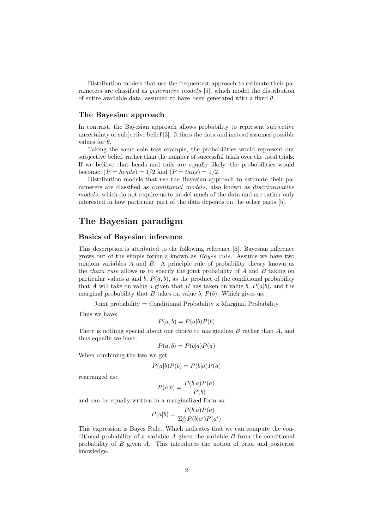Distribution models that use the frequentest approach to estimate their parameters are classified as generative models [5], which model the distribution of entire available data, assumed to have been generated with a fixed  $\theta$ .

#### The Bayesian approach

In contrast, the Bayesian approach allows probability to represent subjective uncertainty or subjective belief [3]. It fixes the data and instead assumes possible values for  $\theta$ .

Taking the same coin toss example, the probabilities would represent our subjective belief, rather than the number of successful trials over the total trials. If we believe that heads and tails are equally likely, the probabilities would become:  $(P = heads) = 1/2$  and  $(P = tails) = 1/2$ .

Distribution models that use the Bayesian approach to estimate their parameters are classified as conditional models, also known as discriminative models, which do not require us to model much of the data and are rather only interested in how particular part of the data depends on the other parts [5].

### The Bayesian paradigm

### Basics of Bayesian inference

This description is attributed to the following reference [6]. Bayesian inference grows out of the simple formula known as Bayes rule. Assume we have two random variables A and B. A principle rule of probability theory known as the chain rule allows us to specify the joint probability of A and B taking on particular values a and b,  $P(a, b)$ , as the product of the conditional probability that A will take on value a given that B has taken on value  $b, P(a|b)$ , and the marginal probability that B takes on value b,  $P(b)$ . Which gives us:

Joint probability = Conditional Probability x Marginal Probability

Thus we have:

$$
P(a,b) = P(a|b)P(b)
$$

There is nothing special about our choice to marginalize  $B$  rather than  $A$ , and thus equally we have:

$$
P(a,b) = P(b|a)P(a)
$$

When combining the two we get:

$$
P(a|b)P(b) = P(b|a)P(a)
$$

rearranged as:

$$
P(a|b) = \frac{P(b|a)P(a)}{P(b)}
$$

and can be equally written in a marginalized form as:

$$
P(a|b) = \frac{P(b|a)P(a)}{\sum_{a'}^{A} P(b|a')P(a')}
$$

This expression is Bayes Rule. Which indicates that we can compute the conditional probability of a variable  $A$  given the variable  $B$  from the conditional probability of B given A. This introduces the notion of prior and posterior knowledge.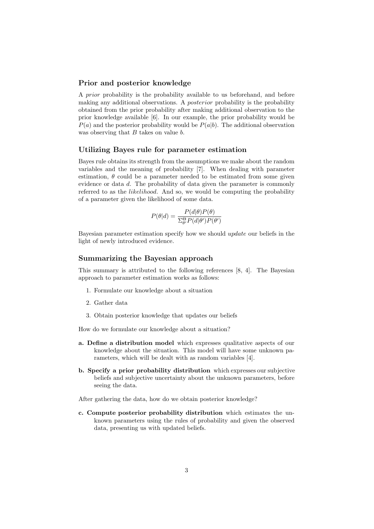#### Prior and posterior knowledge

A prior probability is the probability available to us beforehand, and before making any additional observations. A posterior probability is the probability obtained from the prior probability after making additional observation to the prior knowledge available [6]. In our example, the prior probability would be  $P(a)$  and the posterior probability would be  $P(a|b)$ . The additional observation was observing that  $B$  takes on value  $b$ .

#### Utilizing Bayes rule for parameter estimation

Bayes rule obtains its strength from the assumptions we make about the random variables and the meaning of probability [7]. When dealing with parameter estimation,  $\theta$  could be a parameter needed to be estimated from some given evidence or data d. The probability of data given the parameter is commonly referred to as the *likelihood*. And so, we would be computing the probability of a parameter given the likelihood of some data.

$$
P(\theta|d) = \frac{P(d|\theta)P(\theta)}{\Sigma_{\theta'}^{\Theta}P(d|\theta')P(\theta')}
$$

Bayesian parameter estimation specify how we should update our beliefs in the light of newly introduced evidence.

#### Summarizing the Bayesian approach

This summary is attributed to the following references [8, 4]. The Bayesian approach to parameter estimation works as follows:

- 1. Formulate our knowledge about a situation
- 2. Gather data
- 3. Obtain posterior knowledge that updates our beliefs

How do we formulate our knowledge about a situation?

- a. Define a distribution model which expresses qualitative aspects of our knowledge about the situation. This model will have some unknown parameters, which will be dealt with as random variables [4].
- b. Specify a prior probability distribution which expresses our subjective beliefs and subjective uncertainty about the unknown parameters, before seeing the data.

After gathering the data, how do we obtain posterior knowledge?

c. Compute posterior probability distribution which estimates the unknown parameters using the rules of probability and given the observed data, presenting us with updated beliefs.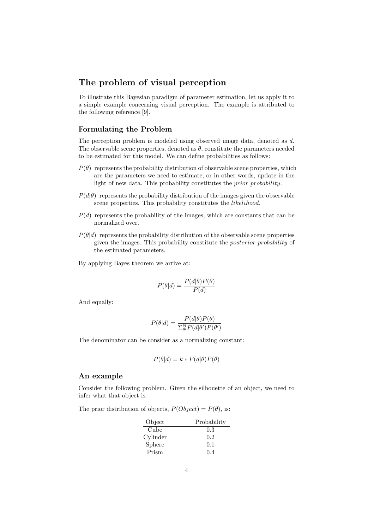# The problem of visual perception

To illustrate this Bayesian paradigm of parameter estimation, let us apply it to a simple example concerning visual perception. The example is attributed to the following reference [9].

### Formulating the Problem

The perception problem is modeled using observed image data, denoted as d. The observable scene properties, denoted as  $\theta$ , constitute the parameters needed to be estimated for this model. We can define probabilities as follows:

- $P(\theta)$  represents the probability distribution of observable scene properties, which are the parameters we need to estimate, or in other words, update in the light of new data. This probability constitutes the prior probability.
- $P(d|\theta)$  represents the probability distribution of the images given the observable scene properties. This probability constitutes the *likelihood*.
- $P(d)$  represents the probability of the images, which are constants that can be normalized over.
- $P(\theta|d)$  represents the probability distribution of the observable scene properties given the images. This probability constitute the posterior probability of the estimated parameters.
- By applying Bayes theorem we arrive at:

$$
P(\theta|d) = \frac{P(d|\theta)P(\theta)}{P(d)}
$$

And equally:

$$
P(\theta|d) = \frac{P(d|\theta)P(\theta)}{\Sigma_{\theta'}^{\Theta}P(d|\theta')P(\theta')}
$$

The denominator can be consider as a normalizing constant:

$$
P(\theta|d) = k \cdot P(d|\theta)P(\theta)
$$

### An example

Consider the following problem. Given the silhouette of an object, we need to infer what that object is.

The prior distribution of objects,  $P(Object) = P(\theta)$ , is:

| Object   | Probability |
|----------|-------------|
| Cube     | 0.3         |
| Cylinder | 0.2         |
| Sphere   | 0.1         |
| Prism    | 0.4         |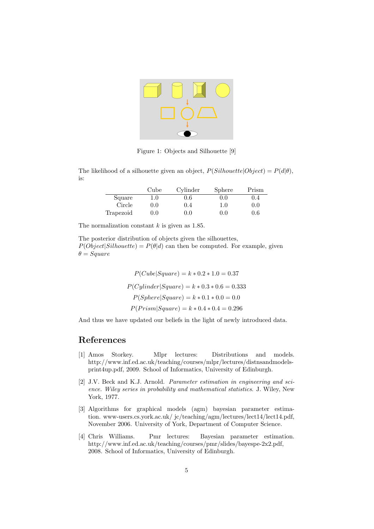

Figure 1: Objects and Silhouette [9]

The likelihood of a silhouette given an object,  $P(Silhouette|Object) = P(d|\theta)$ . is:

|           | Cube    | Cylinder | Sphere  | Prism   |
|-----------|---------|----------|---------|---------|
| Square    | $1.0\,$ | 0.6      | 0.0     | 0.4     |
| Circle    | 0.0     | 0.4      | $1.0\,$ | 0.0     |
| Trapezoid | 0.0     | 0.0      | 0.0     | $0.6\,$ |

The normalization constant  $k$  is given as 1.85.

The posterior distribution of objects given the silhouettes,  $P(Object|Silhouette) = P(\theta|d)$  can then be computed. For example, given  $\theta = Square$ 

> $P(Cube|Square) = k * 0.2 * 1.0 = 0.37$  $P(Cylinder|Square) = k * 0.3 * 0.6 = 0.333$  $P(Sphere|Square) = k * 0.1 * 0.0 = 0.0$  $P(Prism|Square) = k * 0.4 * 0.4 = 0.296$

And thus we have updated our beliefs in the light of newly introduced data.

# References

- [1] Amos Storkey. Mlpr lectures: Distributions and models. http://www.inf.ed.ac.uk/teaching/courses/mlpr/lectures/distnsandmodelsprint4up.pdf, 2009. School of Informatics, University of Edinburgh.
- [2] J.V. Beck and K.J. Arnold. Parameter estimation in engineering and science. Wiley series in probability and mathematical statistics. J. Wiley, New York, 1977.
- [3] Algorithms for graphical models (agm) bayesian parameter estimation. www-users.cs.york.ac.uk/ jc/teaching/agm/lectures/lect14/lect14.pdf, November 2006. University of York, Department of Computer Science.
- [4] Chris Williams. Pmr lectures: Bayesian parameter estimation. http://www.inf.ed.ac.uk/teaching/courses/pmr/slides/bayespe-2x2.pdf, 2008. School of Informatics, University of Edinburgh.